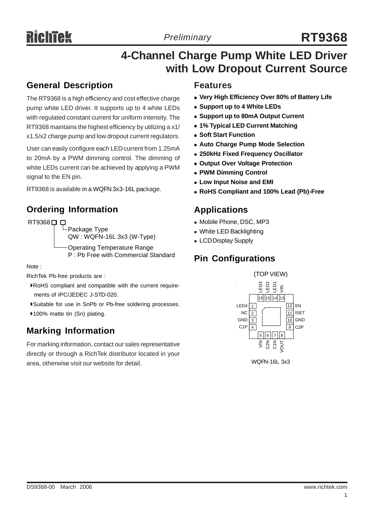# **4-Channel Charge Pump White LED Driver with Low Dropout Current Source**

### **General Description**

The RT9368 is a high efficiency and cost effective charge pump white LED driver. It supports up to 4 white LEDs with regulated constant current for uniform intensity. The RT9368 maintains the highest efficiency by utilizing a x1/ x1.5/x2 charge pump and low dropout current regulators.

User can easily configure each LED current from 1.25mA to 20mA by a PWM dimming control. The dimming of white LEDs current can be achieved by applying a PWM signal to the EN pin.

RT9368 is available in a WQFN 3x3-16L package.

## **Ordering Information**

RT9368□ □ Package Type QW : WQFN-16L 3x3 (W-Type) Operating Temperature Range P : Pb Free with Commercial Standard

Note :

RichTek Pb-free products are :

- `RoHS compliant and compatible with the current require ments of IPC/JEDEC J-STD-020.
- `Suitable for use in SnPb or Pb-free soldering processes.
- ▶100% matte tin (Sn) plating.

### **Marking Information**

For marking information, contact our sales representative directly or through a RichTek distributor located in your area, otherwise visit our website for detail.

#### **Features**

- Very High Efficiency Over 80% of Battery Life
- **Support up to 4 White LEDs**
- **Support up to 80mA Output Current**
- **1% Typical LED Current Matching**
- $\bullet$  **Soft Start Function**
- **Auto Charge Pump Mode Selection**
- <sup>z</sup> **250kHz Fixed Frequency Oscillator**
- **Output Over Voltage Protection**
- <sup>z</sup> **PWM Dimming Control**
- **.** Low Input Noise and EMI
- <sup>z</sup> **RoHS Compliant and 100% Lead (Pb)-Free**

### **Applications**

- Mobile Phone, DSC, MP3
- White LED Backlighting
- LCD Display Supply

### **Pin Configurations**



DS9368-00 March 2006 www.richtek.com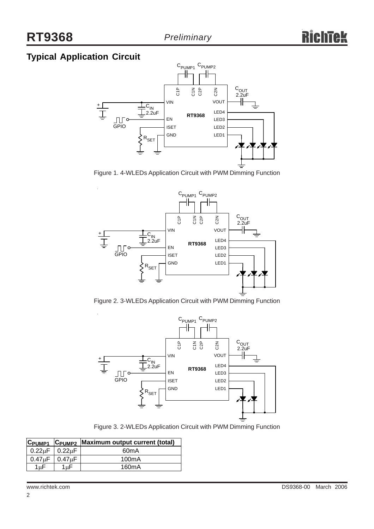## **Typical Application Circuit**



Figure 1. 4-WLEDs Application Circuit with PWM Dimming Function



Figure 2. 3-WLEDs Application Circuit with PWM Dimming Function



Figure 3. 2-WLEDs Application Circuit with PWM Dimming Function

|                           |            | CPUMP1 CPUMP2 Maximum output current (total) |  |  |
|---------------------------|------------|----------------------------------------------|--|--|
| $0.22 \mu F$ 0.22 $\mu F$ |            | 60 <sub>m</sub> A                            |  |  |
| $0.47 \mu F$              | $10.47$ uF | 100 <sub>m</sub> A                           |  |  |
| 1uF                       | 1uF ·      | 160mA                                        |  |  |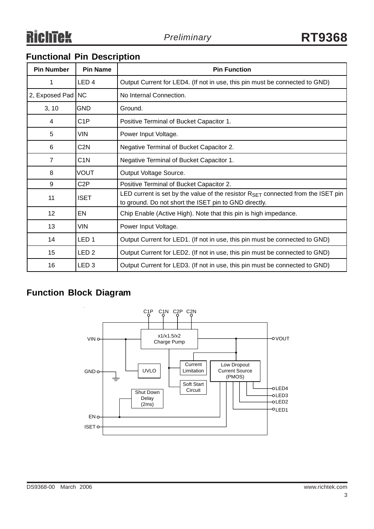## **Functional Pin Description**

| <b>Pin Number</b>   | <b>Pin Name</b>  | <b>Pin Function</b>                                                                                                                                   |  |  |
|---------------------|------------------|-------------------------------------------------------------------------------------------------------------------------------------------------------|--|--|
| 1                   | LED <sub>4</sub> | Output Current for LED4. (If not in use, this pin must be connected to GND)                                                                           |  |  |
| 2, Exposed Pad   NC |                  | No Internal Connection.                                                                                                                               |  |  |
| 3, 10               | <b>GND</b>       | Ground.                                                                                                                                               |  |  |
| 4                   | C <sub>1</sub> P | Positive Terminal of Bucket Capacitor 1.                                                                                                              |  |  |
| 5                   | <b>VIN</b>       | Power Input Voltage.                                                                                                                                  |  |  |
| 6                   | C <sub>2</sub> N | Negative Terminal of Bucket Capacitor 2.                                                                                                              |  |  |
| $\overline{7}$      | C <sub>1</sub> N | Negative Terminal of Bucket Capacitor 1.                                                                                                              |  |  |
| 8                   | <b>VOUT</b>      | Output Voltage Source.                                                                                                                                |  |  |
| 9                   | C <sub>2</sub> P | Positive Terminal of Bucket Capacitor 2.                                                                                                              |  |  |
| 11                  | <b>ISET</b>      | LED current is set by the value of the resistor $R_{\text{SET}}$ connected from the ISET pin<br>to ground. Do not short the ISET pin to GND directly. |  |  |
| 12                  | EN               | Chip Enable (Active High). Note that this pin is high impedance.                                                                                      |  |  |
| 13                  | <b>VIN</b>       | Power Input Voltage.                                                                                                                                  |  |  |
| 14                  | LED <sub>1</sub> | Output Current for LED1. (If not in use, this pin must be connected to GND)                                                                           |  |  |
| 15                  | LED <sub>2</sub> | Output Current for LED2. (If not in use, this pin must be connected to GND)                                                                           |  |  |
| 16                  | LED <sub>3</sub> | Output Current for LED3. (If not in use, this pin must be connected to GND)                                                                           |  |  |

### **Function Block Diagram**

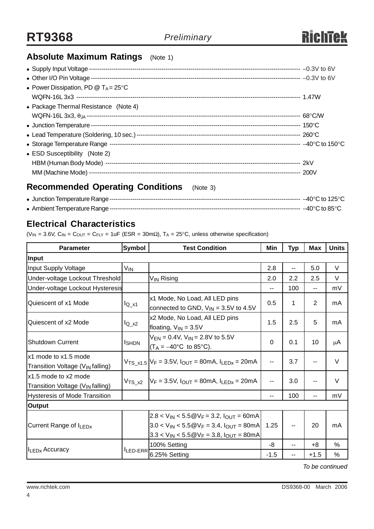## **Absolute Maximum Ratings** (Note 1)

| • Power Dissipation, PD $@$ T <sub>A</sub> = 25 <sup>°</sup> C |  |
|----------------------------------------------------------------|--|
|                                                                |  |
| • Package Thermal Resistance (Note 4)                          |  |
|                                                                |  |
|                                                                |  |
|                                                                |  |
|                                                                |  |
| • ESD Susceptibility (Note 2)                                  |  |
|                                                                |  |
|                                                                |  |

## **Recommended Operating Conditions** (Note 3)

### **Electrical Characteristics**

( $V_{IN}$  = 3.6V,  $C_{IN}$  =  $C_{OUT}$  =  $C_{FLY}$  = 1uF (ESR = 30m $\Omega$ ),  $T_A$  = 25°C, unless otherwise specification)

| <b>Parameter</b>                                                     | <b>Symbol</b> | <b>Test Condition</b>                                                                                                                                                                                                   | Min      | <b>Typ</b> | Max            | <b>Units</b> |  |
|----------------------------------------------------------------------|---------------|-------------------------------------------------------------------------------------------------------------------------------------------------------------------------------------------------------------------------|----------|------------|----------------|--------------|--|
| Input                                                                |               |                                                                                                                                                                                                                         |          |            |                |              |  |
| Input Supply Voltage                                                 | $V_{IN}$      |                                                                                                                                                                                                                         | 2.8      | --         | 5.0            | V            |  |
| Under-voltage Lockout Threshold                                      |               | V <sub>IN</sub> Rising                                                                                                                                                                                                  | 2.0      | 2.2        | 2.5            | $\vee$       |  |
| Under-voltage Lockout Hysteresis                                     |               |                                                                                                                                                                                                                         | --       | 100        |                | mV           |  |
| Quiescent of x1 Mode                                                 | $I_{Q_X1}$    | x1 Mode, No Load, All LED pins<br>connected to GND, $V_{IN} = 3.5V$ to 4.5V                                                                                                                                             | 0.5      | 1          | $\overline{2}$ | mA           |  |
| Quiescent of x2 Mode                                                 | $I_{Q_X2}$    | x2 Mode, No Load, All LED pins<br>floating, $V_{IN} = 3.5V$                                                                                                                                                             | 1.5      | 2.5        | 5              | mA           |  |
| <b>Shutdown Current</b>                                              | <b>I</b> SHDN | $V_{EN} = 0.4V$ , $V_{IN} = 2.8V$ to 5.5V<br>$(T_A = -40^{\circ}C$ to 85°C).                                                                                                                                            | $\Omega$ | 0.1        | 10             | μA           |  |
| x1 mode to x1.5 mode<br>Transition Voltage (V <sub>IN</sub> falling) |               | $V_{TS X1.5}$ V <sub>F</sub> = 3.5V, $I_{OUT}$ = 80mA, $I_{LEDX}$ = 20mA                                                                                                                                                | --       | 3.7        |                | $\vee$       |  |
| x1.5 mode to x2 mode<br>Transition Voltage (V <sub>IN</sub> falling) | $VTS_X2$      | $V_F = 3.5V$ , $I_{OUT} = 80mA$ , $I_{LEDX} = 20mA$                                                                                                                                                                     | --       | 3.0        |                | $\vee$       |  |
| <b>Hysteresis of Mode Transition</b>                                 |               |                                                                                                                                                                                                                         | --       | 100        |                | mV           |  |
| <b>Output</b>                                                        |               |                                                                                                                                                                                                                         |          |            |                |              |  |
| Current Range of ILEDx                                               |               | $2.8 < V_{\text{IN}} < 5.5@V_{\text{F}} = 3.2, I_{\text{OUT}} = 60 \text{mA}$<br>$3.0 < V_{\text{IN}} < 5.5@V_{\text{F}} = 3.4$ , $I_{\text{OUT}} = 80 \text{ mA}$<br>$3.3 < V_{IN} < 5.5@V_F = 3.8$ , $I_{OUT} = 80mA$ | 1.25     |            | 20             | mA           |  |
|                                                                      | ILED-ERR      | 100% Setting                                                                                                                                                                                                            | -8       |            | $+8$           | $\%$         |  |
| <b>ILEDx Accuracy</b>                                                |               | 6.25% Setting                                                                                                                                                                                                           | $-1.5$   |            | $+1.5$         | %            |  |

*To be continued*

4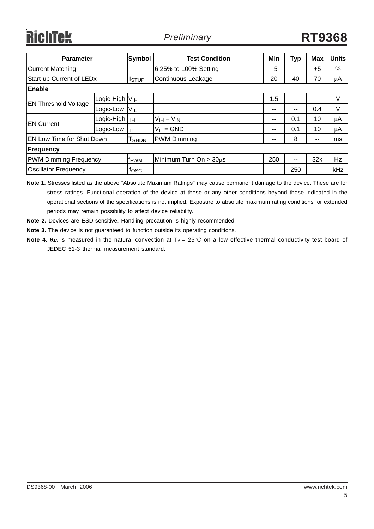| <b>Parameter</b>                 |                             | <b>Symbol</b>    | <b>Test Condition</b>  | Min  | <b>Typ</b> | <b>Max</b> | <b>Units</b> |
|----------------------------------|-----------------------------|------------------|------------------------|------|------------|------------|--------------|
| <b>Current Matching</b>          |                             |                  | 6.25% to 100% Setting  | $-5$ | $- -$      | $+5$       | %            |
| Start-up Current of LEDx         |                             | <b>I</b> STUP    | Continuous Leakage     | 20   | 40         | 70         | μA           |
| Enable                           |                             |                  |                        |      |            |            |              |
|                                  | Logic-High V <sub>IH</sub>  |                  |                        | 1.5  | $ -$       | --         | $\vee$       |
| <b>EN Threshold Voltage</b>      | Logic-Low                   | $V_{IL}$         |                        | --   | $- -$      | 0.4        | V            |
|                                  | Logic-High II <sub>IH</sub> |                  | $V_{IH} = V_{IN}$      | --   | 0.1        | 10         | μA           |
| <b>IEN Current</b>               | Logic-Low                   | Ħш               | $V_{II} = GND$         | --   | 0.1        | 10         | μA           |
| <b>EN Low Time for Shut Down</b> |                             | Tshdn            | <b>PWM Dimming</b>     | --   | 8          | $- -$      | ms           |
| Frequency                        |                             |                  |                        |      |            |            |              |
| <b>PWM Dimming Frequency</b>     |                             | f <sub>PWM</sub> | Minimum Turn On > 30µs | 250  | $- -$      | 32k        | Hz           |
| <b>Oscillator Frequency</b>      |                             | f <sub>OSC</sub> |                        | --   | 250        | --         | kHz          |

**Note 1.** Stresses listed as the above "Absolute Maximum Ratings" may cause permanent damage to the device. These are for stress ratings. Functional operation of the device at these or any other conditions beyond those indicated in the operational sections of the specifications is not implied. Exposure to absolute maximum rating conditions for extended periods may remain possibility to affect device reliability.

- **Note 2.** Devices are ESD sensitive. Handling precaution is highly recommended.
- **Note 3.** The device is not guaranteed to function outside its operating conditions.
- **Note 4.** θ<sub>JA</sub> is measured in the natural convection at T<sub>A</sub> = 25°C on a low effective thermal conductivity test board of JEDEC 51-3 thermal measurement standard.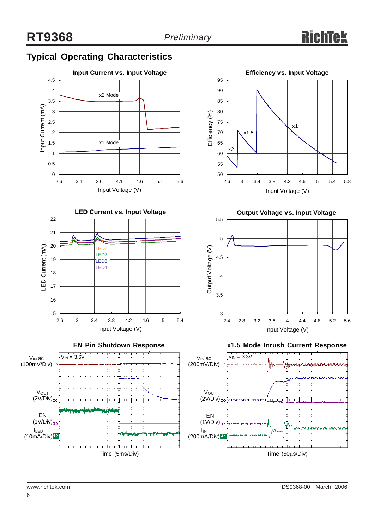## **Typical Operating Characteristics**

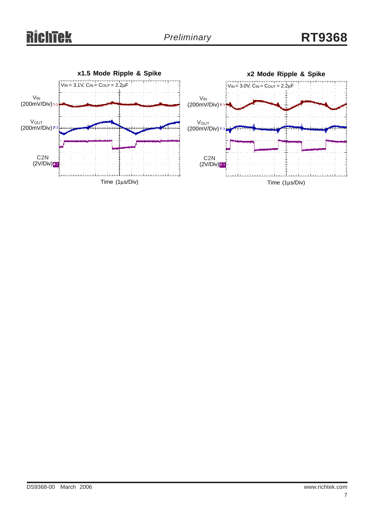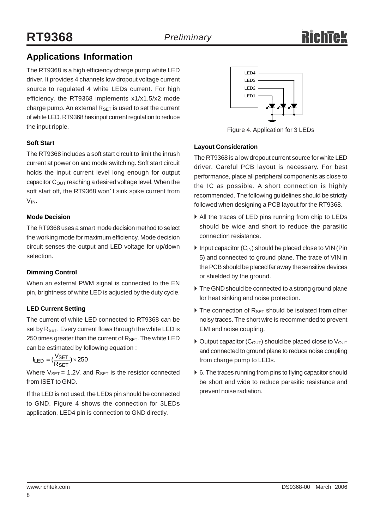## **Applications Information**

The RT9368 is a high efficiency charge pump white LED driver. It provides 4 channels low dropout voltage current source to regulated 4 white LEDs current. For high efficiency, the RT9368 implements x1/x1.5/x2 mode charge pump. An external  $R_{\text{SET}}$  is used to set the current of white LED. RT9368 has input current regulation to reduce the input ripple.

#### **Soft Start**

The RT9368 includes a soft start circuit to limit the inrush current at power on and mode switching. Soft start circuit holds the input current level long enough for output capacitor  $C_{\text{OUT}}$  reaching a desired voltage level. When the soft start off, the RT9368 won' t sink spike current from V<sub>IN</sub>.

#### **Mode Decision**

The RT9368 uses a smart mode decision method to select the working mode for maximum efficiency. Mode decision circuit senses the output and LED voltage for up/down selection.

#### **Dimming Control**

When an external PWM signal is connected to the EN pin, brightness of white LED is adjusted by the duty cycle.

#### **LED Current Setting**

The current of white LED connected to RT9368 can be set by R<sub>SET</sub>. Every current flows through the white LED is 250 times greater than the current of  $R_{\text{SET}}$ . The white LED can be estimated by following equation :

$$
I_{LED} = (\frac{V_{SET}}{R_{SET}}) \times 250
$$

Where  $V_{\text{SET}} = 1.2V$ , and  $R_{\text{SET}}$  is the resistor connected from ISET to GND.

If the LED is not used, the LEDs pin should be connected to GND. Figure 4 shows the connection for 3LEDs application, LED4 pin is connection to GND directly.



Figure 4. Application for 3 LEDs

#### **Layout Consideration**

The RT9368 is a low dropout current source for white LED driver. Careful PCB layout is necessary. For best performance, place all peripheral components as close to the IC as possible. A short connection is highly recommended. The following guidelines should be strictly followed when designing a PCB layout for the RT9368.

- ` All the traces of LED pins running from chip to LEDs should be wide and short to reduce the parasitic connection resistance.
- $\triangleright$  Input capacitor (C<sub>IN</sub>) should be placed close to VIN (Pin) 5) and connected to ground plane. The trace of VIN in the PCB should be placed far away the sensitive devices or shielded by the ground.
- $\triangleright$  The GND should be connected to a strong ground plane for heat sinking and noise protection.
- $\triangleright$  The connection of R<sub>SET</sub> should be isolated from other noisy traces. The short wire is recommended to prevent EMI and noise coupling.
- $\triangleright$  Output capacitor (C<sub>OUT</sub>) should be placed close to V<sub>OUT</sub> and connected to ground plane to reduce noise coupling from charge pump to LEDs.
- $\triangleright$  6. The traces running from pins to flying capacitor should be short and wide to reduce parasitic resistance and prevent noise radiation.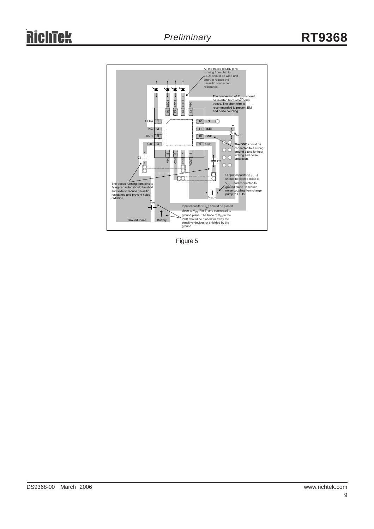

Figure 5